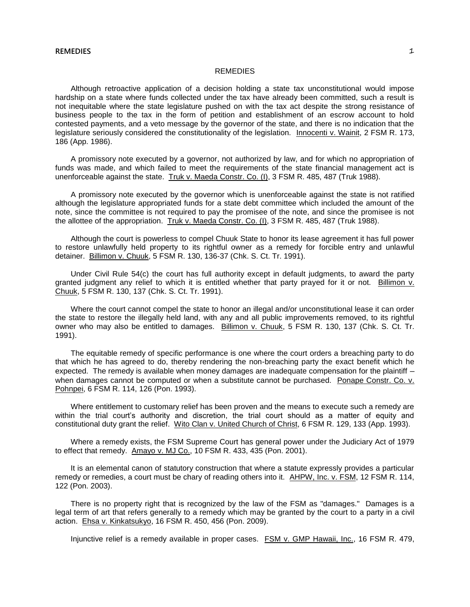#### **REMEDIES** 1

#### **REMEDIES**

Although retroactive application of a decision holding a state tax unconstitutional would impose hardship on a state where funds collected under the tax have already been committed, such a result is not inequitable where the state legislature pushed on with the tax act despite the strong resistance of business people to the tax in the form of petition and establishment of an escrow account to hold contested payments, and a veto message by the governor of the state, and there is no indication that the legislature seriously considered the constitutionality of the legislation. Innocenti v. Wainit, 2 FSM R. 173, 186 (App. 1986).

A promissory note executed by a governor, not authorized by law, and for which no appropriation of funds was made, and which failed to meet the requirements of the state financial management act is unenforceable against the state. Truk v. Maeda Constr. Co. (I), 3 FSM R. 485, 487 (Truk 1988).

A promissory note executed by the governor which is unenforceable against the state is not ratified although the legislature appropriated funds for a state debt committee which included the amount of the note, since the committee is not required to pay the promisee of the note, and since the promisee is not the allottee of the appropriation. Truk v. Maeda Constr. Co. (I), 3 FSM R. 485, 487 (Truk 1988).

Although the court is powerless to compel Chuuk State to honor its lease agreement it has full power to restore unlawfully held property to its rightful owner as a remedy for forcible entry and unlawful detainer. Billimon v. Chuuk, 5 FSM R. 130, 136-37 (Chk. S. Ct. Tr. 1991).

Under Civil Rule 54(c) the court has full authority except in default judgments, to award the party granted judgment any relief to which it is entitled whether that party prayed for it or not. Billimon v. Chuuk, 5 FSM R. 130, 137 (Chk. S. Ct. Tr. 1991).

Where the court cannot compel the state to honor an illegal and/or unconstitutional lease it can order the state to restore the illegally held land, with any and all public improvements removed, to its rightful owner who may also be entitled to damages. Billimon v. Chuuk, 5 FSM R. 130, 137 (Chk. S. Ct. Tr. 1991).

The equitable remedy of specific performance is one where the court orders a breaching party to do that which he has agreed to do, thereby rendering the non-breaching party the exact benefit which he expected. The remedy is available when money damages are inadequate compensation for the plaintiff when damages cannot be computed or when a substitute cannot be purchased. Ponape Constr. Co. v. Pohnpei, 6 FSM R. 114, 126 (Pon. 1993).

Where entitlement to customary relief has been proven and the means to execute such a remedy are within the trial court's authority and discretion, the trial court should as a matter of equity and constitutional duty grant the relief. Wito Clan v. United Church of Christ, 6 FSM R. 129, 133 (App. 1993).

Where a remedy exists, the FSM Supreme Court has general power under the Judiciary Act of 1979 to effect that remedy. Amayo v. MJ Co., 10 FSM R. 433, 435 (Pon. 2001).

It is an elemental canon of statutory construction that where a statute expressly provides a particular remedy or remedies, a court must be chary of reading others into it. AHPW, Inc. v. FSM, 12 FSM R. 114, 122 (Pon. 2003).

There is no property right that is recognized by the law of the FSM as "damages." Damages is a legal term of art that refers generally to a remedy which may be granted by the court to a party in a civil action. Ehsa v. Kinkatsukyo, 16 FSM R. 450, 456 (Pon. 2009).

Injunctive relief is a remedy available in proper cases. FSM v. GMP Hawaii, Inc., 16 FSM R. 479,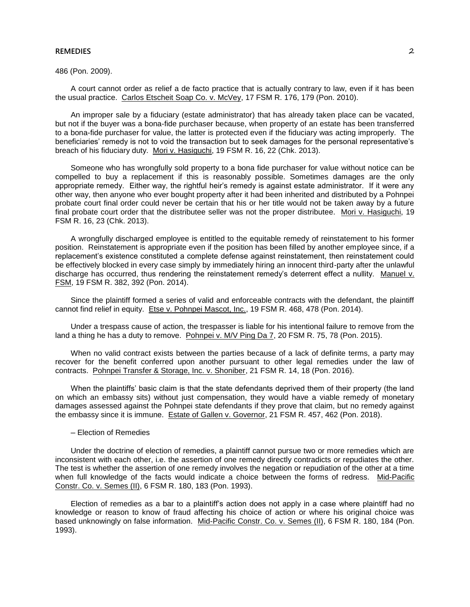#### **REMEDIES** 2

486 (Pon. 2009).

A court cannot order as relief a de facto practice that is actually contrary to law, even if it has been the usual practice. Carlos Etscheit Soap Co. v. McVey, 17 FSM R. 176, 179 (Pon. 2010).

An improper sale by a fiduciary (estate administrator) that has already taken place can be vacated, but not if the buyer was a bona-fide purchaser because, when property of an estate has been transferred to a bona-fide purchaser for value, the latter is protected even if the fiduciary was acting improperly. The beneficiaries' remedy is not to void the transaction but to seek damages for the personal representative's breach of his fiduciary duty. Mori v. Hasiguchi, 19 FSM R. 16, 22 (Chk. 2013).

Someone who has wrongfully sold property to a bona fide purchaser for value without notice can be compelled to buy a replacement if this is reasonably possible. Sometimes damages are the only appropriate remedy. Either way, the rightful heir's remedy is against estate administrator. If it were any other way, then anyone who ever bought property after it had been inherited and distributed by a Pohnpei probate court final order could never be certain that his or her title would not be taken away by a future final probate court order that the distributee seller was not the proper distributee. Mori v. Hasiguchi, 19 FSM R. 16, 23 (Chk. 2013).

A wrongfully discharged employee is entitled to the equitable remedy of reinstatement to his former position. Reinstatement is appropriate even if the position has been filled by another employee since, if a replacement's existence constituted a complete defense against reinstatement, then reinstatement could be effectively blocked in every case simply by immediately hiring an innocent third-party after the unlawful discharge has occurred, thus rendering the reinstatement remedy's deterrent effect a nullity. Manuel v. FSM, 19 FSM R. 382, 392 (Pon. 2014).

Since the plaintiff formed a series of valid and enforceable contracts with the defendant, the plaintiff cannot find relief in equity. Etse v. Pohnpei Mascot, Inc., 19 FSM R. 468, 478 (Pon. 2014).

Under a trespass cause of action, the trespasser is liable for his intentional failure to remove from the land a thing he has a duty to remove. Pohnpei v. M/V Ping Da 7, 20 FSM R. 75, 78 (Pon. 2015).

When no valid contract exists between the parties because of a lack of definite terms, a party may recover for the benefit conferred upon another pursuant to other legal remedies under the law of contracts. Pohnpei Transfer & Storage, Inc. v. Shoniber, 21 FSM R. 14, 18 (Pon. 2016).

When the plaintiffs' basic claim is that the state defendants deprived them of their property (the land on which an embassy sits) without just compensation, they would have a viable remedy of monetary damages assessed against the Pohnpei state defendants if they prove that claim, but no remedy against the embassy since it is immune. Estate of Gallen v. Governor, 21 FSM R. 457, 462 (Pon. 2018).

─ Election of Remedies

Under the doctrine of election of remedies, a plaintiff cannot pursue two or more remedies which are inconsistent with each other, i.e. the assertion of one remedy directly contradicts or repudiates the other. The test is whether the assertion of one remedy involves the negation or repudiation of the other at a time when full knowledge of the facts would indicate a choice between the forms of redress. Mid-Pacific Constr. Co. v. Semes (II), 6 FSM R. 180, 183 (Pon. 1993).

Election of remedies as a bar to a plaintiff's action does not apply in a case where plaintiff had no knowledge or reason to know of fraud affecting his choice of action or where his original choice was based unknowingly on false information. Mid-Pacific Constr. Co. v. Semes (II), 6 FSM R. 180, 184 (Pon. 1993).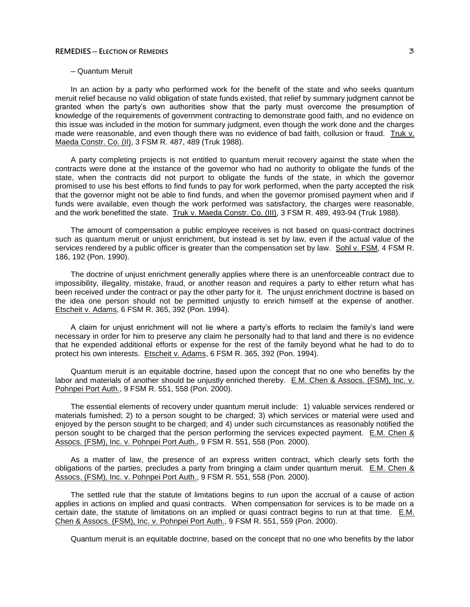## **REMEDIES ─ ELECTION OF REMEDIES** 3

## ─ Quantum Meruit

In an action by a party who performed work for the benefit of the state and who seeks quantum meruit relief because no valid obligation of state funds existed, that relief by summary judgment cannot be granted when the party's own authorities show that the party must overcome the presumption of knowledge of the requirements of government contracting to demonstrate good faith, and no evidence on this issue was included in the motion for summary judgment, even though the work done and the charges made were reasonable, and even though there was no evidence of bad faith, collusion or fraud. Truk v. Maeda Constr. Co. (II), 3 FSM R. 487, 489 (Truk 1988).

A party completing projects is not entitled to quantum meruit recovery against the state when the contracts were done at the instance of the governor who had no authority to obligate the funds of the state, when the contracts did not purport to obligate the funds of the state, in which the governor promised to use his best efforts to find funds to pay for work performed, when the party accepted the risk that the governor might not be able to find funds, and when the governor promised payment when and if funds were available, even though the work performed was satisfactory, the charges were reasonable, and the work benefitted the state. Truk v. Maeda Constr. Co. (III), 3 FSM R. 489, 493-94 (Truk 1988).

The amount of compensation a public employee receives is not based on quasi-contract doctrines such as quantum meruit or unjust enrichment, but instead is set by law, even if the actual value of the services rendered by a public officer is greater than the compensation set by law. Sohl v. FSM, 4 FSM R. 186, 192 (Pon. 1990).

The doctrine of unjust enrichment generally applies where there is an unenforceable contract due to impossibility, illegality, mistake, fraud, or another reason and requires a party to either return what has been received under the contract or pay the other party for it. The unjust enrichment doctrine is based on the idea one person should not be permitted unjustly to enrich himself at the expense of another. Etscheit v. Adams, 6 FSM R. 365, 392 (Pon. 1994).

A claim for unjust enrichment will not lie where a party's efforts to reclaim the family's land were necessary in order for him to preserve any claim he personally had to that land and there is no evidence that he expended additional efforts or expense for the rest of the family beyond what he had to do to protect his own interests. Etscheit v. Adams, 6 FSM R. 365, 392 (Pon. 1994).

Quantum meruit is an equitable doctrine, based upon the concept that no one who benefits by the labor and materials of another should be unjustly enriched thereby. E.M. Chen & Assocs. (FSM), Inc. v. Pohnpei Port Auth., 9 FSM R. 551, 558 (Pon. 2000).

The essential elements of recovery under quantum meruit include: 1) valuable services rendered or materials furnished; 2) to a person sought to be charged; 3) which services or material were used and enjoyed by the person sought to be charged; and 4) under such circumstances as reasonably notified the person sought to be charged that the person performing the services expected payment. E.M. Chen & Assocs. (FSM), Inc. v. Pohnpei Port Auth., 9 FSM R. 551, 558 (Pon. 2000).

As a matter of law, the presence of an express written contract, which clearly sets forth the obligations of the parties, precludes a party from bringing a claim under quantum meruit. E.M. Chen & Assocs. (FSM), Inc. v. Pohnpei Port Auth., 9 FSM R. 551, 558 (Pon. 2000).

The settled rule that the statute of limitations begins to run upon the accrual of a cause of action applies in actions on implied and quasi contracts. When compensation for services is to be made on a certain date, the statute of limitations on an implied or quasi contract begins to run at that time. E.M. Chen & Assocs. (FSM), Inc. v. Pohnpei Port Auth., 9 FSM R. 551, 559 (Pon. 2000).

Quantum meruit is an equitable doctrine, based on the concept that no one who benefits by the labor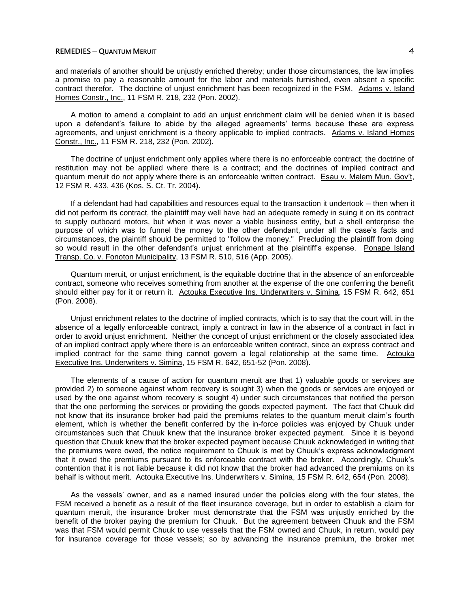## **REMEDIES ─ QUANTUM MERUIT** 4

and materials of another should be unjustly enriched thereby; under those circumstances, the law implies a promise to pay a reasonable amount for the labor and materials furnished, even absent a specific contract therefor. The doctrine of unjust enrichment has been recognized in the FSM. Adams v. Island Homes Constr., Inc., 11 FSM R. 218, 232 (Pon. 2002).

A motion to amend a complaint to add an unjust enrichment claim will be denied when it is based upon a defendant's failure to abide by the alleged agreements' terms because these are express agreements, and unjust enrichment is a theory applicable to implied contracts. Adams v. Island Homes Constr., Inc., 11 FSM R. 218, 232 (Pon. 2002).

The doctrine of unjust enrichment only applies where there is no enforceable contract; the doctrine of restitution may not be applied where there is a contract; and the doctrines of implied contract and quantum meruit do not apply where there is an enforceable written contract. Esau v. Malem Mun. Gov't, 12 FSM R. 433, 436 (Kos. S. Ct. Tr. 2004).

If a defendant had had capabilities and resources equal to the transaction it undertook — then when it did not perform its contract, the plaintiff may well have had an adequate remedy in suing it on its contract to supply outboard motors, but when it was never a viable business entity, but a shell enterprise the purpose of which was to funnel the money to the other defendant, under all the case's facts and circumstances, the plaintiff should be permitted to "follow the money." Precluding the plaintiff from doing so would result in the other defendant's unjust enrichment at the plaintiff's expense. Ponape Island Transp. Co. v. Fonoton Municipality, 13 FSM R. 510, 516 (App. 2005).

Quantum meruit, or unjust enrichment, is the equitable doctrine that in the absence of an enforceable contract, someone who receives something from another at the expense of the one conferring the benefit should either pay for it or return it. Actouka Executive Ins. Underwriters v. Simina, 15 FSM R. 642, 651 (Pon. 2008).

Unjust enrichment relates to the doctrine of implied contracts, which is to say that the court will, in the absence of a legally enforceable contract, imply a contract in law in the absence of a contract in fact in order to avoid unjust enrichment. Neither the concept of unjust enrichment or the closely associated idea of an implied contract apply where there is an enforceable written contract, since an express contract and implied contract for the same thing cannot govern a legal relationship at the same time. Actouka Executive Ins. Underwriters v. Simina, 15 FSM R. 642, 651-52 (Pon. 2008).

The elements of a cause of action for quantum meruit are that 1) valuable goods or services are provided 2) to someone against whom recovery is sought 3) when the goods or services are enjoyed or used by the one against whom recovery is sought 4) under such circumstances that notified the person that the one performing the services or providing the goods expected payment. The fact that Chuuk did not know that its insurance broker had paid the premiums relates to the quantum meruit claim's fourth element, which is whether the benefit conferred by the in-force policies was enjoyed by Chuuk under circumstances such that Chuuk knew that the insurance broker expected payment. Since it is beyond question that Chuuk knew that the broker expected payment because Chuuk acknowledged in writing that the premiums were owed, the notice requirement to Chuuk is met by Chuuk's express acknowledgment that it owed the premiums pursuant to its enforceable contract with the broker. Accordingly, Chuuk's contention that it is not liable because it did not know that the broker had advanced the premiums on its behalf is without merit. Actouka Executive Ins. Underwriters v. Simina, 15 FSM R. 642, 654 (Pon. 2008).

As the vessels' owner, and as a named insured under the policies along with the four states, the FSM received a benefit as a result of the fleet insurance coverage, but in order to establish a claim for quantum meruit, the insurance broker must demonstrate that the FSM was unjustly enriched by the benefit of the broker paying the premium for Chuuk. But the agreement between Chuuk and the FSM was that FSM would permit Chuuk to use vessels that the FSM owned and Chuuk, in return, would pay for insurance coverage for those vessels; so by advancing the insurance premium, the broker met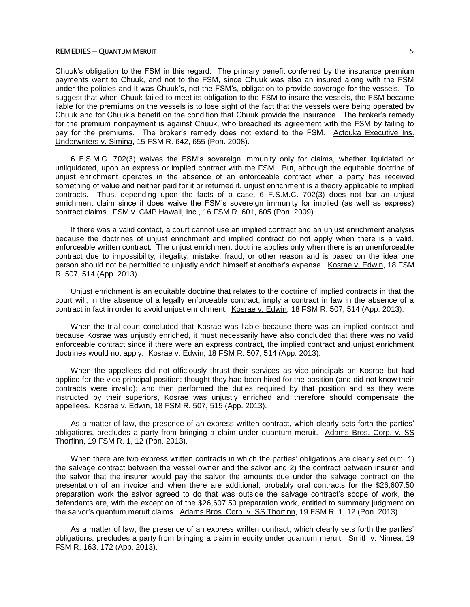## **REMEDIES ─ QUANTUM MERUIT** 5

Chuuk's obligation to the FSM in this regard. The primary benefit conferred by the insurance premium payments went to Chuuk, and not to the FSM, since Chuuk was also an insured along with the FSM under the policies and it was Chuuk's, not the FSM's, obligation to provide coverage for the vessels. To suggest that when Chuuk failed to meet its obligation to the FSM to insure the vessels, the FSM became liable for the premiums on the vessels is to lose sight of the fact that the vessels were being operated by Chuuk and for Chuuk's benefit on the condition that Chuuk provide the insurance. The broker's remedy for the premium nonpayment is against Chuuk, who breached its agreement with the FSM by failing to pay for the premiums. The broker's remedy does not extend to the FSM. Actouka Executive Ins. Underwriters v. Simina, 15 FSM R. 642, 655 (Pon. 2008).

6 F.S.M.C. 702(3) waives the FSM's sovereign immunity only for claims, whether liquidated or unliquidated, upon an express or implied contract with the FSM. But, although the equitable doctrine of unjust enrichment operates in the absence of an enforceable contract when a party has received something of value and neither paid for it or returned it, unjust enrichment is a theory applicable to implied contracts. Thus, depending upon the facts of a case, 6 F.S.M.C. 702(3) does not bar an unjust enrichment claim since it does waive the FSM's sovereign immunity for implied (as well as express) contract claims. FSM v. GMP Hawaii, Inc., 16 FSM R. 601, 605 (Pon. 2009).

If there was a valid contact, a court cannot use an implied contract and an unjust enrichment analysis because the doctrines of unjust enrichment and implied contract do not apply when there is a valid, enforceable written contract. The unjust enrichment doctrine applies only when there is an unenforceable contract due to impossibility, illegality, mistake, fraud, or other reason and is based on the idea one person should not be permitted to unjustly enrich himself at another's expense. Kosrae v. Edwin, 18 FSM R. 507, 514 (App. 2013).

Unjust enrichment is an equitable doctrine that relates to the doctrine of implied contracts in that the court will, in the absence of a legally enforceable contract, imply a contract in law in the absence of a contract in fact in order to avoid unjust enrichment. Kosrae v. Edwin, 18 FSM R. 507, 514 (App. 2013).

When the trial court concluded that Kosrae was liable because there was an implied contract and because Kosrae was unjustly enriched, it must necessarily have also concluded that there was no valid enforceable contract since if there were an express contract, the implied contract and unjust enrichment doctrines would not apply. Kosrae v. Edwin, 18 FSM R. 507, 514 (App. 2013).

When the appellees did not officiously thrust their services as vice-principals on Kosrae but had applied for the vice-principal position; thought they had been hired for the position (and did not know their contracts were invalid); and then performed the duties required by that position and as they were instructed by their superiors, Kosrae was unjustly enriched and therefore should compensate the appellees. Kosrae v. Edwin, 18 FSM R. 507, 515 (App. 2013).

As a matter of law, the presence of an express written contract, which clearly sets forth the parties' obligations, precludes a party from bringing a claim under quantum meruit. Adams Bros. Corp. v. SS Thorfinn, 19 FSM R. 1, 12 (Pon. 2013).

When there are two express written contracts in which the parties' obligations are clearly set out: 1) the salvage contract between the vessel owner and the salvor and 2) the contract between insurer and the salvor that the insurer would pay the salvor the amounts due under the salvage contract on the presentation of an invoice and when there are additional, probably oral contracts for the \$26,607.50 preparation work the salvor agreed to do that was outside the salvage contract's scope of work, the defendants are, with the exception of the \$26,607.50 preparation work, entitled to summary judgment on the salvor's quantum meruit claims. Adams Bros. Corp. v. SS Thorfinn, 19 FSM R. 1, 12 (Pon. 2013).

As a matter of law, the presence of an express written contract, which clearly sets forth the parties' obligations, precludes a party from bringing a claim in equity under quantum meruit. Smith v. Nimea, 19 FSM R. 163, 172 (App. 2013).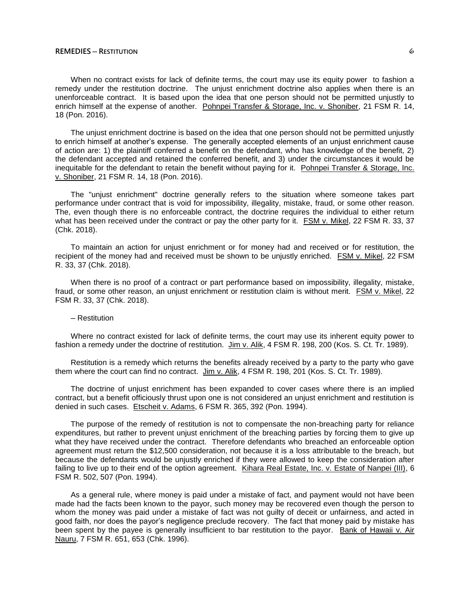18 (Pon. 2016).

When no contract exists for lack of definite terms, the court may use its equity power to fashion a remedy under the restitution doctrine. The unjust enrichment doctrine also applies when there is an unenforceable contract. It is based upon the idea that one person should not be permitted unjustly to enrich himself at the expense of another. Pohnpei Transfer & Storage, Inc. v. Shoniber, 21 FSM R. 14,

The unjust enrichment doctrine is based on the idea that one person should not be permitted unjustly to enrich himself at another's expense. The generally accepted elements of an unjust enrichment cause of action are: 1) the plaintiff conferred a benefit on the defendant, who has knowledge of the benefit, 2) the defendant accepted and retained the conferred benefit, and 3) under the circumstances it would be inequitable for the defendant to retain the benefit without paying for it. Pohnpei Transfer & Storage, Inc. v. Shoniber, 21 FSM R. 14, 18 (Pon. 2016).

The "unjust enrichment" doctrine generally refers to the situation where someone takes part performance under contract that is void for impossibility, illegality, mistake, fraud, or some other reason. The, even though there is no enforceable contract, the doctrine requires the individual to either return what has been received under the contract or pay the other party for it. FSM v. Mikel, 22 FSM R. 33, 37 (Chk. 2018).

To maintain an action for unjust enrichment or for money had and received or for restitution, the recipient of the money had and received must be shown to be unjustly enriched. FSM v. Mikel, 22 FSM R. 33, 37 (Chk. 2018).

When there is no proof of a contract or part performance based on impossibility, illegality, mistake, fraud, or some other reason, an unjust enrichment or restitution claim is without merit. FSM v. Mikel, 22 FSM R. 33, 37 (Chk. 2018).

#### ─ Restitution

Where no contract existed for lack of definite terms, the court may use its inherent equity power to fashion a remedy under the doctrine of restitution. Jim v. Alik, 4 FSM R. 198, 200 (Kos. S. Ct. Tr. 1989).

Restitution is a remedy which returns the benefits already received by a party to the party who gave them where the court can find no contract. Jim v. Alik, 4 FSM R. 198, 201 (Kos. S. Ct. Tr. 1989).

The doctrine of unjust enrichment has been expanded to cover cases where there is an implied contract, but a benefit officiously thrust upon one is not considered an unjust enrichment and restitution is denied in such cases. Etscheit v. Adams, 6 FSM R. 365, 392 (Pon. 1994).

The purpose of the remedy of restitution is not to compensate the non-breaching party for reliance expenditures, but rather to prevent unjust enrichment of the breaching parties by forcing them to give up what they have received under the contract. Therefore defendants who breached an enforceable option agreement must return the \$12,500 consideration, not because it is a loss attributable to the breach, but because the defendants would be unjustly enriched if they were allowed to keep the consideration after failing to live up to their end of the option agreement. Kihara Real Estate, Inc. v. Estate of Nanpei (III), 6 FSM R. 502, 507 (Pon. 1994).

As a general rule, where money is paid under a mistake of fact, and payment would not have been made had the facts been known to the payor, such money may be recovered even though the person to whom the money was paid under a mistake of fact was not guilty of deceit or unfairness, and acted in good faith, nor does the payor's negligence preclude recovery. The fact that money paid by mistake has been spent by the payee is generally insufficient to bar restitution to the payor. Bank of Hawaii v. Air Nauru, 7 FSM R. 651, 653 (Chk. 1996).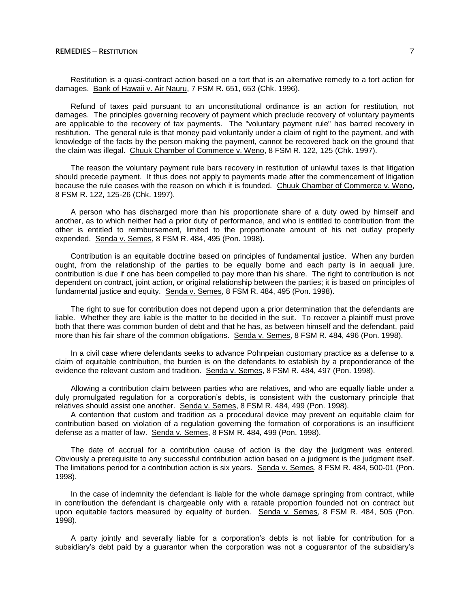Restitution is a quasi-contract action based on a tort that is an alternative remedy to a tort action for damages. Bank of Hawaii v. Air Nauru, 7 FSM R. 651, 653 (Chk. 1996).

Refund of taxes paid pursuant to an unconstitutional ordinance is an action for restitution, not damages. The principles governing recovery of payment which preclude recovery of voluntary payments are applicable to the recovery of tax payments. The "voluntary payment rule" has barred recovery in restitution. The general rule is that money paid voluntarily under a claim of right to the payment, and with knowledge of the facts by the person making the payment, cannot be recovered back on the ground that the claim was illegal. Chuuk Chamber of Commerce v. Weno, 8 FSM R. 122, 125 (Chk. 1997).

The reason the voluntary payment rule bars recovery in restitution of unlawful taxes is that litigation should precede payment. It thus does not apply to payments made after the commencement of litigation because the rule ceases with the reason on which it is founded. Chuuk Chamber of Commerce v. Weno, 8 FSM R. 122, 125-26 (Chk. 1997).

A person who has discharged more than his proportionate share of a duty owed by himself and another, as to which neither had a prior duty of performance, and who is entitled to contribution from the other is entitled to reimbursement, limited to the proportionate amount of his net outlay properly expended. Senda v. Semes, 8 FSM R. 484, 495 (Pon. 1998).

Contribution is an equitable doctrine based on principles of fundamental justice. When any burden ought, from the relationship of the parties to be equally borne and each party is in aequali jure, contribution is due if one has been compelled to pay more than his share. The right to contribution is not dependent on contract, joint action, or original relationship between the parties; it is based on principles of fundamental justice and equity. Senda v. Semes, 8 FSM R. 484, 495 (Pon. 1998).

The right to sue for contribution does not depend upon a prior determination that the defendants are liable. Whether they are liable is the matter to be decided in the suit. To recover a plaintiff must prove both that there was common burden of debt and that he has, as between himself and the defendant, paid more than his fair share of the common obligations. Senda v. Semes, 8 FSM R. 484, 496 (Pon. 1998).

In a civil case where defendants seeks to advance Pohnpeian customary practice as a defense to a claim of equitable contribution, the burden is on the defendants to establish by a preponderance of the evidence the relevant custom and tradition. Senda v. Semes, 8 FSM R. 484, 497 (Pon. 1998).

Allowing a contribution claim between parties who are relatives, and who are equally liable under a duly promulgated regulation for a corporation's debts, is consistent with the customary principle that relatives should assist one another. Senda v. Semes, 8 FSM R. 484, 499 (Pon. 1998).

A contention that custom and tradition as a procedural device may prevent an equitable claim for contribution based on violation of a regulation governing the formation of corporations is an insufficient defense as a matter of law. Senda v. Semes, 8 FSM R. 484, 499 (Pon. 1998).

The date of accrual for a contribution cause of action is the day the judgment was entered. Obviously a prerequisite to any successful contribution action based on a judgment is the judgment itself. The limitations period for a contribution action is six years. Senda v. Semes, 8 FSM R. 484, 500-01 (Pon. 1998).

In the case of indemnity the defendant is liable for the whole damage springing from contract, while in contribution the defendant is chargeable only with a ratable proportion founded not on contract but upon equitable factors measured by equality of burden. Senda v. Semes, 8 FSM R. 484, 505 (Pon. 1998).

A party jointly and severally liable for a corporation's debts is not liable for contribution for a subsidiary's debt paid by a guarantor when the corporation was not a coguarantor of the subsidiary's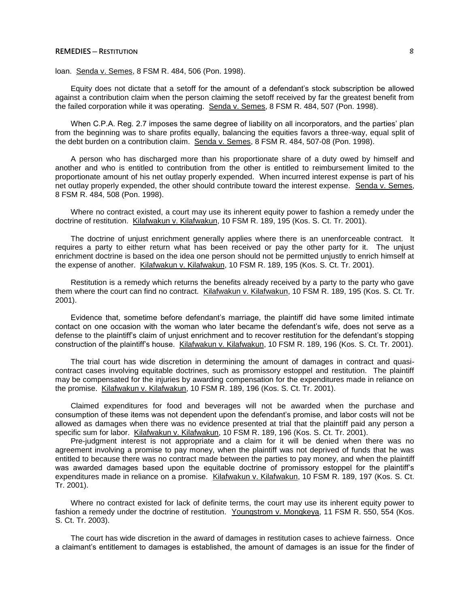loan. Senda v. Semes, 8 FSM R. 484, 506 (Pon. 1998).

Equity does not dictate that a setoff for the amount of a defendant's stock subscription be allowed against a contribution claim when the person claiming the setoff received by far the greatest benefit from the failed corporation while it was operating. Senda v. Semes, 8 FSM R. 484, 507 (Pon. 1998).

When C.P.A. Reg. 2.7 imposes the same degree of liability on all incorporators, and the parties' plan from the beginning was to share profits equally, balancing the equities favors a three-way, equal split of the debt burden on a contribution claim. Senda v. Semes, 8 FSM R. 484, 507-08 (Pon. 1998).

A person who has discharged more than his proportionate share of a duty owed by himself and another and who is entitled to contribution from the other is entitled to reimbursement limited to the proportionate amount of his net outlay properly expended. When incurred interest expense is part of his net outlay properly expended, the other should contribute toward the interest expense. Senda v. Semes, 8 FSM R. 484, 508 (Pon. 1998).

Where no contract existed, a court may use its inherent equity power to fashion a remedy under the doctrine of restitution. Kilafwakun v. Kilafwakun, 10 FSM R. 189, 195 (Kos. S. Ct. Tr. 2001).

The doctrine of unjust enrichment generally applies where there is an unenforceable contract. It requires a party to either return what has been received or pay the other party for it. The unjust enrichment doctrine is based on the idea one person should not be permitted unjustly to enrich himself at the expense of another. Kilafwakun v. Kilafwakun, 10 FSM R. 189, 195 (Kos. S. Ct. Tr. 2001).

Restitution is a remedy which returns the benefits already received by a party to the party who gave them where the court can find no contract. Kilafwakun v. Kilafwakun, 10 FSM R. 189, 195 (Kos. S. Ct. Tr. 2001).

Evidence that, sometime before defendant's marriage, the plaintiff did have some limited intimate contact on one occasion with the woman who later became the defendant's wife, does not serve as a defense to the plaintiff's claim of unjust enrichment and to recover restitution for the defendant's stopping construction of the plaintiff's house. Kilafwakun v. Kilafwakun, 10 FSM R. 189, 196 (Kos. S. Ct. Tr. 2001).

The trial court has wide discretion in determining the amount of damages in contract and quasicontract cases involving equitable doctrines, such as promissory estoppel and restitution. The plaintiff may be compensated for the injuries by awarding compensation for the expenditures made in reliance on the promise. Kilafwakun v. Kilafwakun, 10 FSM R. 189, 196 (Kos. S. Ct. Tr. 2001).

Claimed expenditures for food and beverages will not be awarded when the purchase and consumption of these items was not dependent upon the defendant's promise, and labor costs will not be allowed as damages when there was no evidence presented at trial that the plaintiff paid any person a specific sum for labor. Kilafwakun v. Kilafwakun, 10 FSM R. 189, 196 (Kos. S. Ct. Tr. 2001).

Pre-judgment interest is not appropriate and a claim for it will be denied when there was no agreement involving a promise to pay money, when the plaintiff was not deprived of funds that he was entitled to because there was no contract made between the parties to pay money, and when the plaintiff was awarded damages based upon the equitable doctrine of promissory estoppel for the plaintiff's expenditures made in reliance on a promise. Kilafwakun v. Kilafwakun, 10 FSM R. 189, 197 (Kos. S. Ct. Tr. 2001).

Where no contract existed for lack of definite terms, the court may use its inherent equity power to fashion a remedy under the doctrine of restitution. Youngstrom v. Mongkeya, 11 FSM R. 550, 554 (Kos. S. Ct. Tr. 2003).

The court has wide discretion in the award of damages in restitution cases to achieve fairness. Once a claimant's entitlement to damages is established, the amount of damages is an issue for the finder of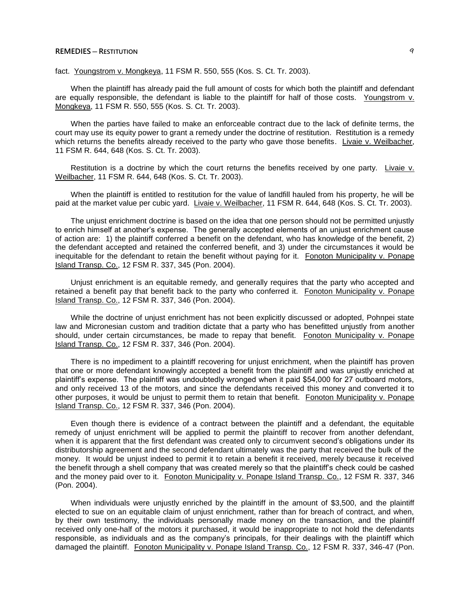fact. Youngstrom v. Mongkeya, 11 FSM R. 550, 555 (Kos. S. Ct. Tr. 2003).

When the plaintiff has already paid the full amount of costs for which both the plaintiff and defendant are equally responsible, the defendant is liable to the plaintiff for half of those costs. Youngstrom  $v$ . Mongkeya, 11 FSM R. 550, 555 (Kos. S. Ct. Tr. 2003).

When the parties have failed to make an enforceable contract due to the lack of definite terms, the court may use its equity power to grant a remedy under the doctrine of restitution. Restitution is a remedy which returns the benefits already received to the party who gave those benefits. Livaie v. Weilbacher, 11 FSM R. 644, 648 (Kos. S. Ct. Tr. 2003).

Restitution is a doctrine by which the court returns the benefits received by one party. Livaie v. Weilbacher, 11 FSM R. 644, 648 (Kos. S. Ct. Tr. 2003).

When the plaintiff is entitled to restitution for the value of landfill hauled from his property, he will be paid at the market value per cubic yard. Livaie v. Weilbacher, 11 FSM R. 644, 648 (Kos. S. Ct. Tr. 2003).

The unjust enrichment doctrine is based on the idea that one person should not be permitted unjustly to enrich himself at another's expense. The generally accepted elements of an unjust enrichment cause of action are: 1) the plaintiff conferred a benefit on the defendant, who has knowledge of the benefit, 2) the defendant accepted and retained the conferred benefit, and 3) under the circumstances it would be inequitable for the defendant to retain the benefit without paying for it. Fonoton Municipality v. Ponape Island Transp. Co., 12 FSM R. 337, 345 (Pon. 2004).

Unjust enrichment is an equitable remedy, and generally requires that the party who accepted and retained a benefit pay that benefit back to the party who conferred it. Fonoton Municipality v. Ponape Island Transp. Co., 12 FSM R. 337, 346 (Pon. 2004).

While the doctrine of unjust enrichment has not been explicitly discussed or adopted, Pohnpei state law and Micronesian custom and tradition dictate that a party who has benefitted unjustly from another should, under certain circumstances, be made to repay that benefit. Fonoton Municipality v. Ponape Island Transp. Co., 12 FSM R. 337, 346 (Pon. 2004).

There is no impediment to a plaintiff recovering for unjust enrichment, when the plaintiff has proven that one or more defendant knowingly accepted a benefit from the plaintiff and was unjustly enriched at plaintiff's expense. The plaintiff was undoubtedly wronged when it paid \$54,000 for 27 outboard motors, and only received 13 of the motors, and since the defendants received this money and converted it to other purposes, it would be unjust to permit them to retain that benefit. Fonoton Municipality v. Ponape Island Transp. Co., 12 FSM R. 337, 346 (Pon. 2004).

Even though there is evidence of a contract between the plaintiff and a defendant, the equitable remedy of unjust enrichment will be applied to permit the plaintiff to recover from another defendant, when it is apparent that the first defendant was created only to circumvent second's obligations under its distributorship agreement and the second defendant ultimately was the party that received the bulk of the money. It would be unjust indeed to permit it to retain a benefit it received, merely because it received the benefit through a shell company that was created merely so that the plaintiff's check could be cashed and the money paid over to it. Fonoton Municipality v. Ponape Island Transp. Co., 12 FSM R. 337, 346 (Pon. 2004).

When individuals were unjustly enriched by the plaintiff in the amount of \$3,500, and the plaintiff elected to sue on an equitable claim of unjust enrichment, rather than for breach of contract, and when, by their own testimony, the individuals personally made money on the transaction, and the plaintiff received only one-half of the motors it purchased, it would be inappropriate to not hold the defendants responsible, as individuals and as the company's principals, for their dealings with the plaintiff which damaged the plaintiff. Fonoton Municipality v. Ponape Island Transp. Co., 12 FSM R. 337, 346-47 (Pon.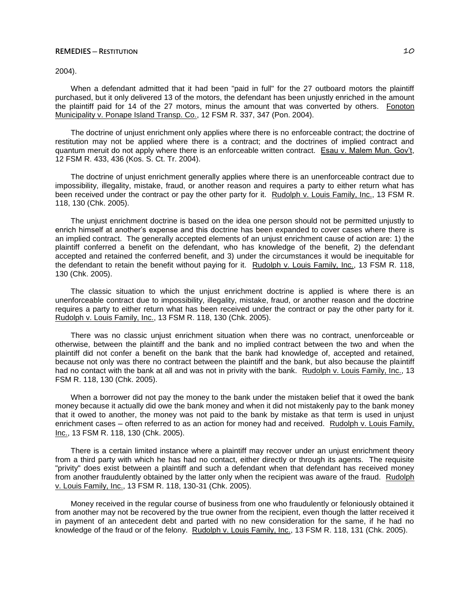## 2004).

When a defendant admitted that it had been "paid in full" for the 27 outboard motors the plaintiff purchased, but it only delivered 13 of the motors, the defendant has been unjustly enriched in the amount the plaintiff paid for 14 of the 27 motors, minus the amount that was converted by others. Fonoton Municipality v. Ponape Island Transp. Co., 12 FSM R. 337, 347 (Pon. 2004).

The doctrine of unjust enrichment only applies where there is no enforceable contract; the doctrine of restitution may not be applied where there is a contract; and the doctrines of implied contract and quantum meruit do not apply where there is an enforceable written contract. Esau v. Malem Mun. Gov't, 12 FSM R. 433, 436 (Kos. S. Ct. Tr. 2004).

The doctrine of unjust enrichment generally applies where there is an unenforceable contract due to impossibility, illegality, mistake, fraud, or another reason and requires a party to either return what has been received under the contract or pay the other party for it. Rudolph v. Louis Family, Inc., 13 FSM R. 118, 130 (Chk. 2005).

The unjust enrichment doctrine is based on the idea one person should not be permitted unjustly to enrich himself at another's expense and this doctrine has been expanded to cover cases where there is an implied contract. The generally accepted elements of an unjust enrichment cause of action are: 1) the plaintiff conferred a benefit on the defendant, who has knowledge of the benefit, 2) the defendant accepted and retained the conferred benefit, and 3) under the circumstances it would be inequitable for the defendant to retain the benefit without paying for it. Rudolph v. Louis Family, Inc., 13 FSM R. 118, 130 (Chk. 2005).

The classic situation to which the unjust enrichment doctrine is applied is where there is an unenforceable contract due to impossibility, illegality, mistake, fraud, or another reason and the doctrine requires a party to either return what has been received under the contract or pay the other party for it. Rudolph v. Louis Family, Inc., 13 FSM R. 118, 130 (Chk. 2005).

There was no classic unjust enrichment situation when there was no contract, unenforceable or otherwise, between the plaintiff and the bank and no implied contract between the two and when the plaintiff did not confer a benefit on the bank that the bank had knowledge of, accepted and retained, because not only was there no contract between the plaintiff and the bank, but also because the plaintiff had no contact with the bank at all and was not in privity with the bank. Rudolph v. Louis Family, Inc., 13 FSM R. 118, 130 (Chk. 2005).

When a borrower did not pay the money to the bank under the mistaken belief that it owed the bank money because it actually did owe the bank money and when it did not mistakenly pay to the bank money that it owed to another, the money was not paid to the bank by mistake as that term is used in unjust enrichment cases – often referred to as an action for money had and received. Rudolph v. Louis Family, Inc., 13 FSM R. 118, 130 (Chk. 2005).

There is a certain limited instance where a plaintiff may recover under an unjust enrichment theory from a third party with which he has had no contact, either directly or through its agents. The requisite "privity" does exist between a plaintiff and such a defendant when that defendant has received money from another fraudulently obtained by the latter only when the recipient was aware of the fraud. Rudolph v. Louis Family, Inc., 13 FSM R. 118, 130-31 (Chk. 2005).

Money received in the regular course of business from one who fraudulently or feloniously obtained it from another may not be recovered by the true owner from the recipient, even though the latter received it in payment of an antecedent debt and parted with no new consideration for the same, if he had no knowledge of the fraud or of the felony. Rudolph v. Louis Family, Inc., 13 FSM R. 118, 131 (Chk. 2005).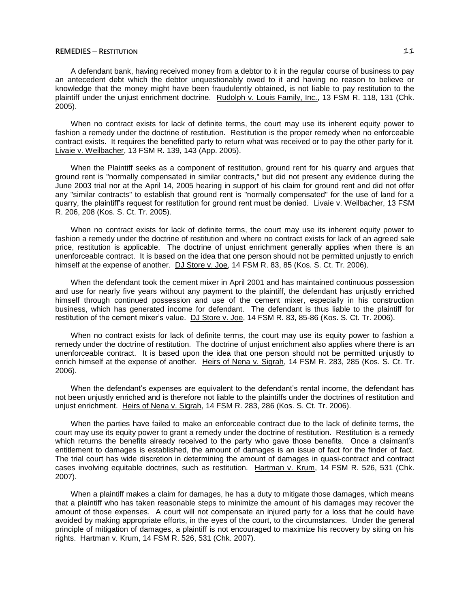A defendant bank, having received money from a debtor to it in the regular course of business to pay an antecedent debt which the debtor unquestionably owed to it and having no reason to believe or knowledge that the money might have been fraudulently obtained, is not liable to pay restitution to the plaintiff under the unjust enrichment doctrine. Rudolph v. Louis Family, Inc., 13 FSM R. 118, 131 (Chk. 2005).

When no contract exists for lack of definite terms, the court may use its inherent equity power to fashion a remedy under the doctrine of restitution. Restitution is the proper remedy when no enforceable contract exists. It requires the benefitted party to return what was received or to pay the other party for it. Livaie v. Weilbacher, 13 FSM R. 139, 143 (App. 2005).

When the Plaintiff seeks as a component of restitution, ground rent for his quarry and argues that ground rent is "normally compensated in similar contracts," but did not present any evidence during the June 2003 trial nor at the April 14, 2005 hearing in support of his claim for ground rent and did not offer any "similar contracts" to establish that ground rent is "normally compensated" for the use of land for a quarry, the plaintiff's request for restitution for ground rent must be denied. Livaie v. Weilbacher, 13 FSM R. 206, 208 (Kos. S. Ct. Tr. 2005).

When no contract exists for lack of definite terms, the court may use its inherent equity power to fashion a remedy under the doctrine of restitution and where no contract exists for lack of an agreed sale price, restitution is applicable. The doctrine of unjust enrichment generally applies when there is an unenforceable contract. It is based on the idea that one person should not be permitted unjustly to enrich himself at the expense of another. DJ Store v. Joe, 14 FSM R. 83, 85 (Kos. S. Ct. Tr. 2006).

When the defendant took the cement mixer in April 2001 and has maintained continuous possession and use for nearly five years without any payment to the plaintiff, the defendant has unjustly enriched himself through continued possession and use of the cement mixer, especially in his construction business, which has generated income for defendant. The defendant is thus liable to the plaintiff for restitution of the cement mixer's value. DJ Store v. Joe, 14 FSM R. 83, 85-86 (Kos. S. Ct. Tr. 2006).

When no contract exists for lack of definite terms, the court may use its equity power to fashion a remedy under the doctrine of restitution. The doctrine of unjust enrichment also applies where there is an unenforceable contract. It is based upon the idea that one person should not be permitted unjustly to enrich himself at the expense of another. Heirs of Nena v. Sigrah, 14 FSM R. 283, 285 (Kos. S. Ct. Tr. 2006).

When the defendant's expenses are equivalent to the defendant's rental income, the defendant has not been unjustly enriched and is therefore not liable to the plaintiffs under the doctrines of restitution and unjust enrichment. Heirs of Nena v. Sigrah, 14 FSM R. 283, 286 (Kos. S. Ct. Tr. 2006).

When the parties have failed to make an enforceable contract due to the lack of definite terms, the court may use its equity power to grant a remedy under the doctrine of restitution. Restitution is a remedy which returns the benefits already received to the party who gave those benefits. Once a claimant's entitlement to damages is established, the amount of damages is an issue of fact for the finder of fact. The trial court has wide discretion in determining the amount of damages in quasi-contract and contract cases involving equitable doctrines, such as restitution. Hartman v. Krum, 14 FSM R. 526, 531 (Chk. 2007).

When a plaintiff makes a claim for damages, he has a duty to mitigate those damages, which means that a plaintiff who has taken reasonable steps to minimize the amount of his damages may recover the amount of those expenses. A court will not compensate an injured party for a loss that he could have avoided by making appropriate efforts, in the eyes of the court, to the circumstances. Under the general principle of mitigation of damages, a plaintiff is not encouraged to maximize his recovery by siting on his rights. Hartman v. Krum, 14 FSM R. 526, 531 (Chk. 2007).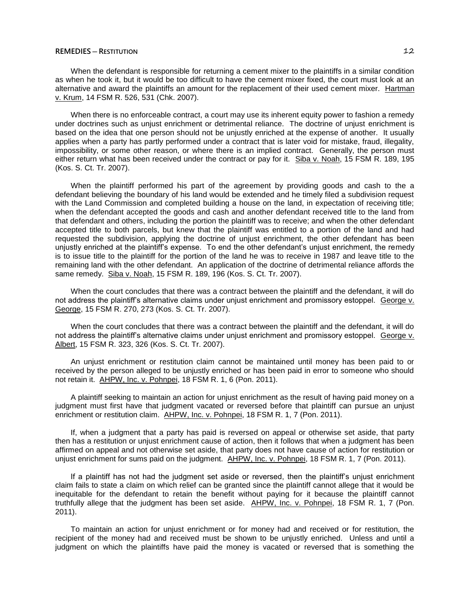When the defendant is responsible for returning a cement mixer to the plaintiffs in a similar condition as when he took it, but it would be too difficult to have the cement mixer fixed, the court must look at an alternative and award the plaintiffs an amount for the replacement of their used cement mixer. Hartman v. Krum, 14 FSM R. 526, 531 (Chk. 2007).

When there is no enforceable contract, a court may use its inherent equity power to fashion a remedy under doctrines such as unjust enrichment or detrimental reliance. The doctrine of unjust enrichment is based on the idea that one person should not be unjustly enriched at the expense of another. It usually applies when a party has partly performed under a contract that is later void for mistake, fraud, illegality, impossibility, or some other reason, or where there is an implied contract. Generally, the person must either return what has been received under the contract or pay for it. Siba v. Noah, 15 FSM R. 189, 195 (Kos. S. Ct. Tr. 2007).

When the plaintiff performed his part of the agreement by providing goods and cash to the a defendant believing the boundary of his land would be extended and he timely filed a subdivision request with the Land Commission and completed building a house on the land, in expectation of receiving title; when the defendant accepted the goods and cash and another defendant received title to the land from that defendant and others, including the portion the plaintiff was to receive; and when the other defendant accepted title to both parcels, but knew that the plaintiff was entitled to a portion of the land and had requested the subdivision, applying the doctrine of unjust enrichment, the other defendant has been unjustly enriched at the plaintiff's expense. To end the other defendant's unjust enrichment, the remedy is to issue title to the plaintiff for the portion of the land he was to receive in 1987 and leave title to the remaining land with the other defendant. An application of the doctrine of detrimental reliance affords the same remedy. Siba v. Noah, 15 FSM R. 189, 196 (Kos. S. Ct. Tr. 2007).

When the court concludes that there was a contract between the plaintiff and the defendant, it will do not address the plaintiff's alternative claims under unjust enrichment and promissory estoppel. George v. George, 15 FSM R. 270, 273 (Kos. S. Ct. Tr. 2007).

When the court concludes that there was a contract between the plaintiff and the defendant, it will do not address the plaintiff's alternative claims under unjust enrichment and promissory estoppel. George v. Albert, 15 FSM R. 323, 326 (Kos. S. Ct. Tr. 2007).

An unjust enrichment or restitution claim cannot be maintained until money has been paid to or received by the person alleged to be unjustly enriched or has been paid in error to someone who should not retain it. AHPW, Inc. v. Pohnpei, 18 FSM R. 1, 6 (Pon. 2011).

A plaintiff seeking to maintain an action for unjust enrichment as the result of having paid money on a judgment must first have that judgment vacated or reversed before that plaintiff can pursue an unjust enrichment or restitution claim. AHPW, Inc. v. Pohnpei, 18 FSM R. 1, 7 (Pon. 2011).

If, when a judgment that a party has paid is reversed on appeal or otherwise set aside, that party then has a restitution or unjust enrichment cause of action, then it follows that when a judgment has been affirmed on appeal and not otherwise set aside, that party does not have cause of action for restitution or unjust enrichment for sums paid on the judgment. AHPW, Inc. v. Pohnpei, 18 FSM R. 1, 7 (Pon. 2011).

If a plaintiff has not had the judgment set aside or reversed, then the plaintiff's unjust enrichment claim fails to state a claim on which relief can be granted since the plaintiff cannot allege that it would be inequitable for the defendant to retain the benefit without paying for it because the plaintiff cannot truthfully allege that the judgment has been set aside. AHPW, Inc. v. Pohnpei, 18 FSM R. 1, 7 (Pon. 2011).

To maintain an action for unjust enrichment or for money had and received or for restitution, the recipient of the money had and received must be shown to be unjustly enriched. Unless and until a judgment on which the plaintiffs have paid the money is vacated or reversed that is something the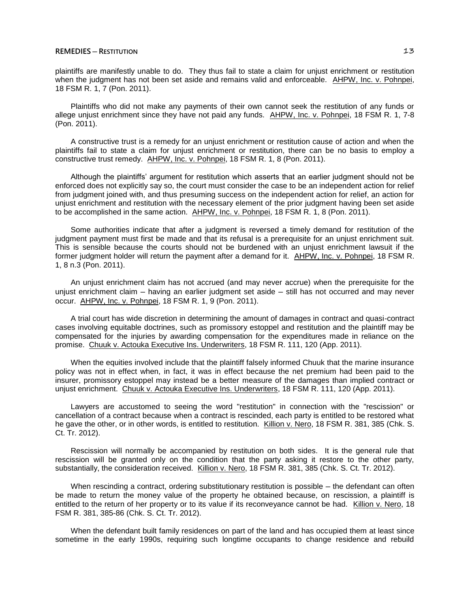plaintiffs are manifestly unable to do. They thus fail to state a claim for unjust enrichment or restitution when the judgment has not been set aside and remains valid and enforceable. AHPW, Inc. v. Pohnpei, 18 FSM R. 1, 7 (Pon. 2011).

Plaintiffs who did not make any payments of their own cannot seek the restitution of any funds or allege unjust enrichment since they have not paid any funds. AHPW, Inc. v. Pohnpei, 18 FSM R. 1, 7-8 (Pon. 2011).

A constructive trust is a remedy for an unjust enrichment or restitution cause of action and when the plaintiffs fail to state a claim for unjust enrichment or restitution, there can be no basis to employ a constructive trust remedy. AHPW, Inc. v. Pohnpei, 18 FSM R. 1, 8 (Pon. 2011).

Although the plaintiffs' argument for restitution which asserts that an earlier judgment should not be enforced does not explicitly say so, the court must consider the case to be an independent action for relief from judgment joined with, and thus presuming success on the independent action for relief, an action for unjust enrichment and restitution with the necessary element of the prior judgment having been set aside to be accomplished in the same action. AHPW, Inc. v. Pohnpei, 18 FSM R. 1, 8 (Pon. 2011).

Some authorities indicate that after a judgment is reversed a timely demand for restitution of the judgment payment must first be made and that its refusal is a prerequisite for an unjust enrichment suit. This is sensible because the courts should not be burdened with an unjust enrichment lawsuit if the former judgment holder will return the payment after a demand for it. AHPW, Inc. v. Pohnpei, 18 FSM R. 1, 8 n.3 (Pon. 2011).

An unjust enrichment claim has not accrued (and may never accrue) when the prerequisite for the unjust enrichment claim – having an earlier judgment set aside – still has not occurred and may never occur. AHPW, Inc. v. Pohnpei, 18 FSM R. 1, 9 (Pon. 2011).

A trial court has wide discretion in determining the amount of damages in contract and quasi-contract cases involving equitable doctrines, such as promissory estoppel and restitution and the plaintiff may be compensated for the injuries by awarding compensation for the expenditures made in reliance on the promise. Chuuk v. Actouka Executive Ins. Underwriters, 18 FSM R. 111, 120 (App. 2011).

When the equities involved include that the plaintiff falsely informed Chuuk that the marine insurance policy was not in effect when, in fact, it was in effect because the net premium had been paid to the insurer, promissory estoppel may instead be a better measure of the damages than implied contract or unjust enrichment. Chuuk v. Actouka Executive Ins. Underwriters, 18 FSM R. 111, 120 (App. 2011).

Lawyers are accustomed to seeing the word "restitution" in connection with the "rescission" or cancellation of a contract because when a contract is rescinded, each party is entitled to be restored what he gave the other, or in other words, is entitled to restitution. Killion v. Nero, 18 FSM R. 381, 385 (Chk. S. Ct. Tr. 2012).

Rescission will normally be accompanied by restitution on both sides. It is the general rule that rescission will be granted only on the condition that the party asking it restore to the other party, substantially, the consideration received. Killion v. Nero, 18 FSM R. 381, 385 (Chk. S. Ct. Tr. 2012).

When rescinding a contract, ordering substitutionary restitution is possible – the defendant can often be made to return the money value of the property he obtained because, on rescission, a plaintiff is entitled to the return of her property or to its value if its reconveyance cannot be had. Killion v. Nero, 18 FSM R. 381, 385-86 (Chk. S. Ct. Tr. 2012).

When the defendant built family residences on part of the land and has occupied them at least since sometime in the early 1990s, requiring such longtime occupants to change residence and rebuild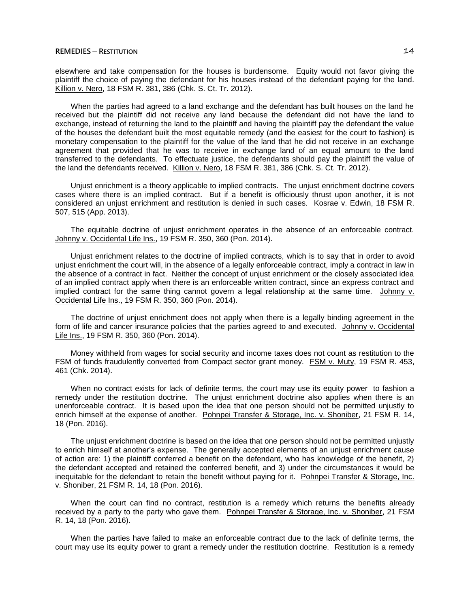elsewhere and take compensation for the houses is burdensome. Equity would not favor giving the plaintiff the choice of paying the defendant for his houses instead of the defendant paying for the land. Killion v. Nero, 18 FSM R. 381, 386 (Chk. S. Ct. Tr. 2012).

When the parties had agreed to a land exchange and the defendant has built houses on the land he received but the plaintiff did not receive any land because the defendant did not have the land to exchange, instead of returning the land to the plaintiff and having the plaintiff pay the defendant the value of the houses the defendant built the most equitable remedy (and the easiest for the court to fashion) is monetary compensation to the plaintiff for the value of the land that he did not receive in an exchange agreement that provided that he was to receive in exchange land of an equal amount to the land transferred to the defendants. To effectuate justice, the defendants should pay the plaintiff the value of the land the defendants received. Killion v. Nero, 18 FSM R. 381, 386 (Chk. S. Ct. Tr. 2012).

Unjust enrichment is a theory applicable to implied contracts. The unjust enrichment doctrine covers cases where there is an implied contract. But if a benefit is officiously thrust upon another, it is not considered an unjust enrichment and restitution is denied in such cases. Kosrae v. Edwin, 18 FSM R. 507, 515 (App. 2013).

The equitable doctrine of unjust enrichment operates in the absence of an enforceable contract. Johnny v. Occidental Life Ins., 19 FSM R. 350, 360 (Pon. 2014).

Unjust enrichment relates to the doctrine of implied contracts, which is to say that in order to avoid unjust enrichment the court will, in the absence of a legally enforceable contract, imply a contract in law in the absence of a contract in fact. Neither the concept of unjust enrichment or the closely associated idea of an implied contract apply when there is an enforceable written contract, since an express contract and implied contract for the same thing cannot govern a legal relationship at the same time. Johnny v. Occidental Life Ins., 19 FSM R. 350, 360 (Pon. 2014).

The doctrine of unjust enrichment does not apply when there is a legally binding agreement in the form of life and cancer insurance policies that the parties agreed to and executed. Johnny v. Occidental Life Ins., 19 FSM R. 350, 360 (Pon. 2014).

Money withheld from wages for social security and income taxes does not count as restitution to the FSM of funds fraudulently converted from Compact sector grant money. FSM v. Muty, 19 FSM R. 453, 461 (Chk. 2014).

When no contract exists for lack of definite terms, the court may use its equity power to fashion a remedy under the restitution doctrine. The unjust enrichment doctrine also applies when there is an unenforceable contract. It is based upon the idea that one person should not be permitted unjustly to enrich himself at the expense of another. Pohnpei Transfer & Storage, Inc. v. Shoniber, 21 FSM R. 14, 18 (Pon. 2016).

The unjust enrichment doctrine is based on the idea that one person should not be permitted unjustly to enrich himself at another's expense. The generally accepted elements of an unjust enrichment cause of action are: 1) the plaintiff conferred a benefit on the defendant, who has knowledge of the benefit, 2) the defendant accepted and retained the conferred benefit, and 3) under the circumstances it would be inequitable for the defendant to retain the benefit without paying for it. Pohnpei Transfer & Storage, Inc. v. Shoniber, 21 FSM R. 14, 18 (Pon. 2016).

When the court can find no contract, restitution is a remedy which returns the benefits already received by a party to the party who gave them. Pohnpei Transfer & Storage, Inc. v. Shoniber, 21 FSM R. 14, 18 (Pon. 2016).

When the parties have failed to make an enforceable contract due to the lack of definite terms, the court may use its equity power to grant a remedy under the restitution doctrine. Restitution is a remedy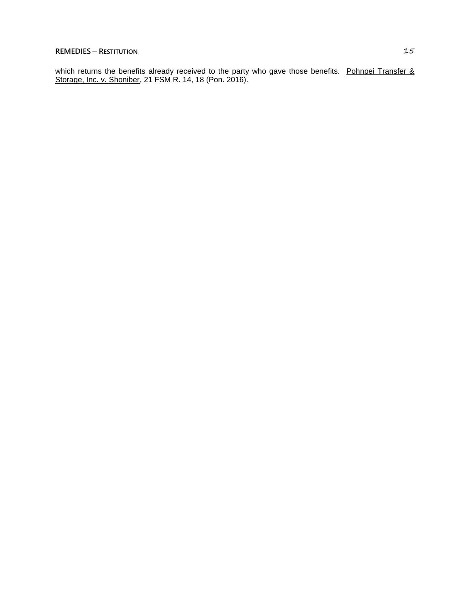which returns the benefits already received to the party who gave those benefits. Pohnpei Transfer & Storage, Inc. v. Shoniber, 21 FSM R. 14, 18 (Pon. 2016).